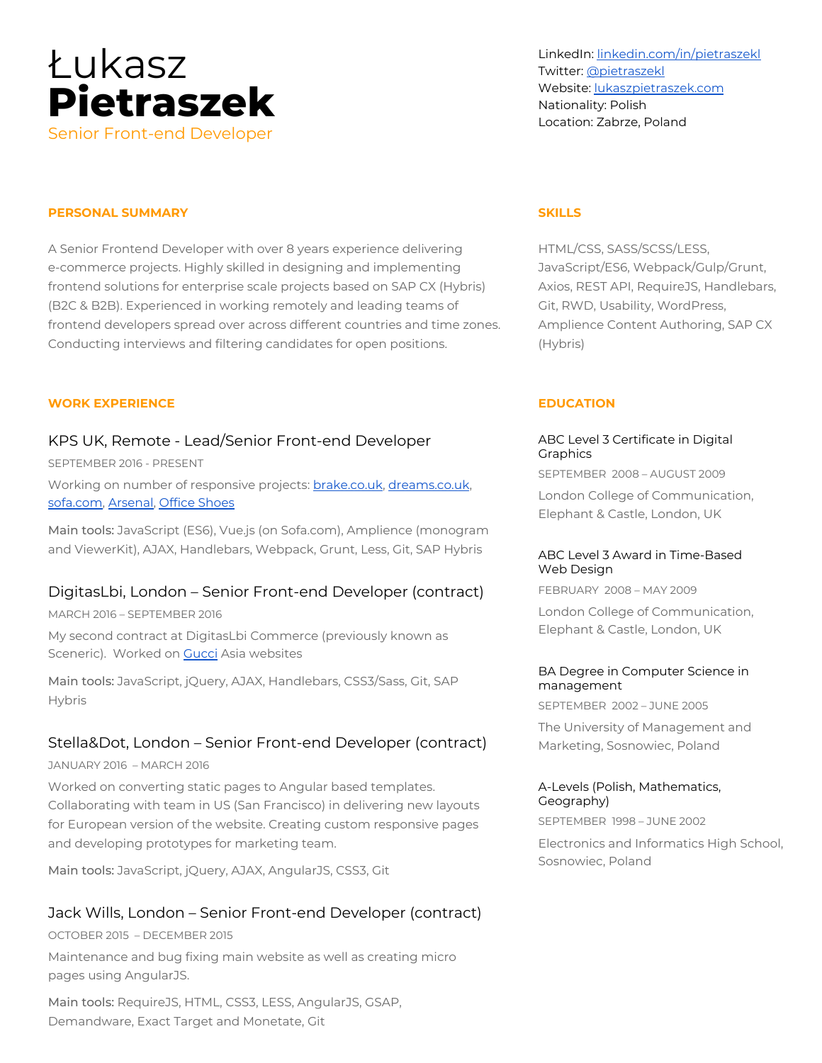

LinkedIn: [linkedin.com/in/pietraszekl](https://linkedin.com/in/pietraszekl) Twitter: [@pietraszekl](https://twitter.com/pietraszekl) Website: [lukaszpietraszek.com](https://lukaszpietraszek.com/) Nationality: Polish Location: Zabrze, Poland

## **PERSONAL SUMMARY**

A Senior Frontend Developer with over 8 years experience delivering e-commerce projects. Highly skilled in designing and implementing frontend solutions for enterprise scale projects based on SAP CX (Hybris) (B2C & B2B). Experienced in working remotely and leading teams of frontend developers spread over across different countries and time zones. Conducting interviews and filtering candidates for open positions.

### **WORK EXPERIENCE**

## KPS UK, Remote - Lead/Senior Front-end Developer

SEPTEMBER 2016 - PRESENT

Working on number of responsive projects: [brake.co.uk](https://brake.co.uk/), [dreams.co.uk,](https://dreams.co.uk/) [sofa.com](https://sofa.com/), [Arsenal,](https://arsenaldirect.arsenal.com/) Office [Shoes](https://www.office.co.uk/)

Main tools: JavaScript (ES6), Vue.js (on Sofa.com), Amplience (monogram and ViewerKit), AJAX, Handlebars, Webpack, Grunt, Less, Git, SAP Hybris

## DigitasLbi, London – Senior Front-end Developer (contract)

MARCH 2016 – SEPTEMBER 2016

My second contract at DigitasLbi Commerce (previously known as Sceneric). Worked on [Gucci](https://www.gucci.com/) Asia websites

Main tools: JavaScript, jQuery, AJAX, Handlebars, CSS3/Sass, Git, SAP Hybris

## Stella&Dot, London – Senior Front-end Developer (contract)

JANUARY 2016 – MARCH 2016

Worked on converting static pages to Angular based templates. Collaborating with team in US (San Francisco) in delivering new layouts for European version of the website. Creating custom responsive pages and developing prototypes for marketing team.

Main tools: JavaScript, jQuery, AJAX, AngularJS, CSS3, Git

## Jack Wills, London – Senior Front-end Developer (contract)

OCTOBER 2015 – DECEMBER 2015

Maintenance and bug fixing main website as well as creating micro pages using AngularJS.

Main tools: RequireJS, HTML, CSS3, LESS, AngularJS, GSAP, Demandware, Exact Target and Monetate, Git

### **SKILLS**

HTML/CSS, SASS/SCSS/LESS, JavaScript/ES6, Webpack/Gulp/Grunt, Axios, REST API, RequireJS, Handlebars, Git, RWD, Usability, WordPress, Amplience Content Authoring, SAP CX (Hybris)

### **EDUCATION**

### ABC Level 3 Certificate in Digital **Graphics**

SEPTEMBER 2008 – AUGUST 2009

London College of Communication, Elephant & Castle, London, UK

## ABC Level 3 Award in Time-Based Web Design

FEBRUARY 2008 – MAY 2009

London College of Communication, Elephant & Castle, London, UK

#### BA Degree in Computer Science in management

SEPTEMBER 2002 – JUNE 2005

The University of Management and Marketing, Sosnowiec, Poland

## A-Levels (Polish, Mathematics, Geography)

SEPTEMBER 1998 – JUNE 2002

Electronics and Informatics High School, Sosnowiec, Poland